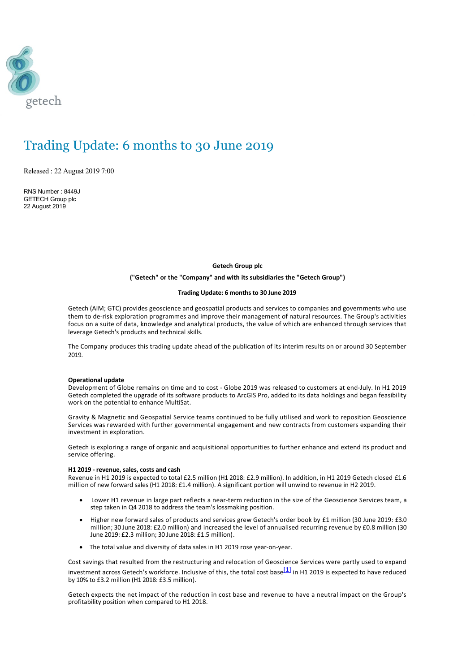

# Trading Update: 6 months to 30 June 2019

Released : 22 August 2019 7:00

RNS Number : 8449J GETECH Group plc 22 August 2019

# **Getech Group plc**

# **("Getech" or the "Company" and with its subsidiaries the "Getech Group")**

## **Trading Update: 6 months to 30 June 2019**

Getech (AIM; GTC) provides geoscience and geospatial products and services to companies and governments who use them to de‐risk exploration programmes and improve their management of natural resources. The Group's activities focus on a suite of data, knowledge and analytical products, the value of which are enhanced through services that leverage Getech's products and technical skills.

The Company produces this trading update ahead of the publication of its interim results on or around 30 September 2019.

# **Operational update**

Development of Globe remains on time and to cost ‐ Globe 2019 was released to customers at end‐July. In H1 2019 Getech completed the upgrade of its software products to ArcGIS Pro, added to its data holdings and began feasibility work on the potential to enhance MultiSat.

Gravity & Magnetic and Geospatial Service teams continued to be fully utilised and work to reposition Geoscience Services was rewarded with further governmental engagement and new contracts from customers expanding their investment in exploration.

Getech is exploring a range of organic and acquisitional opportunities to further enhance and extend its product and service offering.

### **H1 2019 ‐ revenue, sales, costs and cash**

Revenue in H1 2019 is expected to total £2.5 million (H1 2018: £2.9 million). In addition, in H1 2019 Getech closed £1.6 million of new forward sales (H1 2018: £1.4 million). A significant portion will unwind to revenue in H2 2019.

- Lower H1 revenue in large part reflects a near-term reduction in the size of the Geoscience Services team, a step taken in Q4 2018 to address the team's lossmaking position.
- · Higher new forward sales of products and services grew Getech's order book by £1 million (30 June 2019: £3.0 million; 30 June 2018: £2.0 million) and increased the level of annualised recurring revenue by £0.8 million (30 June 2019: £2.3 million; 30 June 2018: £1.5 million).
- · The total value and diversity of data sales in H1 2019 rose year‐on‐year.

Cost savings that resulted from the restructuring and relocation of Geoscience Services were partly used to expand investment across Getech's workforce. Inclusive of this, the total cost base<sup>[1]</sup> in H1 2019 is expected to have reduced by 10% to £3.2 million (H1 2018: £3.5 million).

Getech expects the net impact of the reduction in cost base and revenue to have a neutral impact on the Group's profitability position when compared to H1 2018.